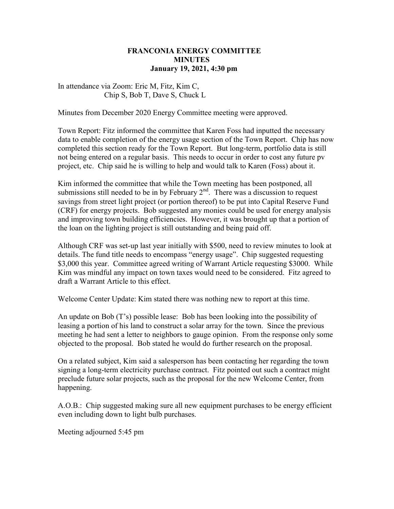## FRANCONIA ENERGY COMMITTEE **MINUTES** January 19, 2021, 4:30 pm

## In attendance via Zoom: Eric M, Fitz, Kim C, Chip S, Bob T, Dave S, Chuck L

Minutes from December 2020 Energy Committee meeting were approved.

Town Report: Fitz informed the committee that Karen Foss had inputted the necessary data to enable completion of the energy usage section of the Town Report. Chip has now completed this section ready for the Town Report. But long-term, portfolio data is still not being entered on a regular basis. This needs to occur in order to cost any future pv project, etc. Chip said he is willing to help and would talk to Karen (Foss) about it.

Kim informed the committee that while the Town meeting has been postponed, all submissions still needed to be in by February  $2<sup>nd</sup>$ . There was a discussion to request savings from street light project (or portion thereof) to be put into Capital Reserve Fund (CRF) for energy projects. Bob suggested any monies could be used for energy analysis and improving town building efficiencies. However, it was brought up that a portion of the loan on the lighting project is still outstanding and being paid off.

Although CRF was set-up last year initially with \$500, need to review minutes to look at details. The fund title needs to encompass "energy usage". Chip suggested requesting \$3,000 this year. Committee agreed writing of Warrant Article requesting \$3000. While Kim was mindful any impact on town taxes would need to be considered. Fitz agreed to draft a Warrant Article to this effect.

Welcome Center Update: Kim stated there was nothing new to report at this time.

An update on Bob (T's) possible lease: Bob has been looking into the possibility of leasing a portion of his land to construct a solar array for the town. Since the previous meeting he had sent a letter to neighbors to gauge opinion. From the response only some objected to the proposal. Bob stated he would do further research on the proposal.

On a related subject, Kim said a salesperson has been contacting her regarding the town signing a long-term electricity purchase contract. Fitz pointed out such a contract might preclude future solar projects, such as the proposal for the new Welcome Center, from happening.

A.O.B.: Chip suggested making sure all new equipment purchases to be energy efficient even including down to light bulb purchases.

Meeting adjourned 5:45 pm